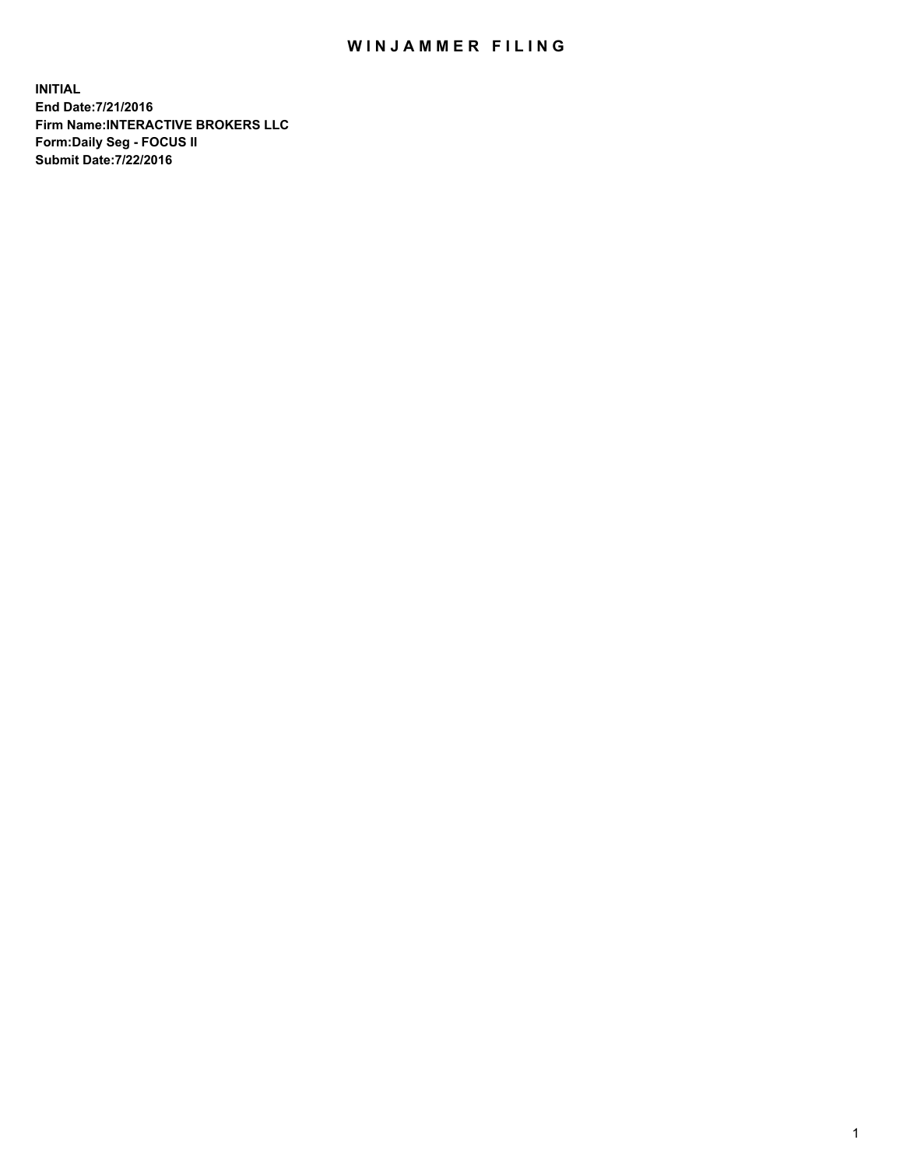## WIN JAMMER FILING

**INITIAL End Date:7/21/2016 Firm Name:INTERACTIVE BROKERS LLC Form:Daily Seg - FOCUS II Submit Date:7/22/2016**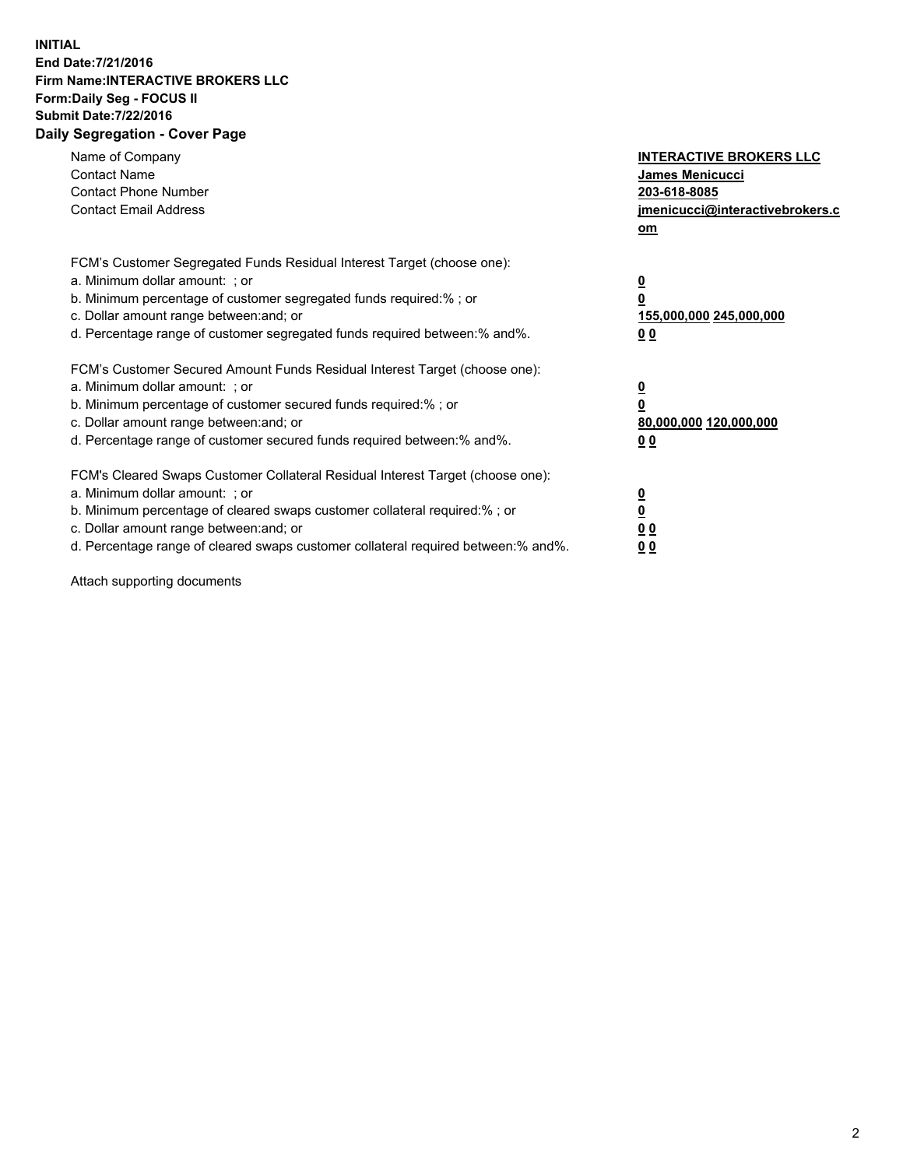## **INITIAL End Date:7/21/2016 Firm Name:INTERACTIVE BROKERS LLC Form:Daily Seg - FOCUS II Submit Date:7/22/2016 Daily Segregation - Cover Page**

| Name of Company<br><b>Contact Name</b><br><b>Contact Phone Number</b><br><b>Contact Email Address</b>                                                                                                                                                                                                                          | <b>INTERACTIVE BROKERS LLC</b><br><b>James Menicucci</b><br>203-618-8085<br>jmenicucci@interactivebrokers.c<br>om |
|--------------------------------------------------------------------------------------------------------------------------------------------------------------------------------------------------------------------------------------------------------------------------------------------------------------------------------|-------------------------------------------------------------------------------------------------------------------|
| FCM's Customer Segregated Funds Residual Interest Target (choose one):<br>a. Minimum dollar amount: ; or<br>b. Minimum percentage of customer segregated funds required:%; or<br>c. Dollar amount range between: and; or<br>d. Percentage range of customer segregated funds required between:% and%.                          | $\overline{\mathbf{0}}$<br>0<br>155,000,000 245,000,000<br>0 <sub>0</sub>                                         |
| FCM's Customer Secured Amount Funds Residual Interest Target (choose one):<br>a. Minimum dollar amount: ; or<br>b. Minimum percentage of customer secured funds required:%; or<br>c. Dollar amount range between: and; or<br>d. Percentage range of customer secured funds required between: % and %.                          | $\overline{\mathbf{0}}$<br>0<br>80,000,000 120,000,000<br>0 <sub>0</sub>                                          |
| FCM's Cleared Swaps Customer Collateral Residual Interest Target (choose one):<br>a. Minimum dollar amount: ; or<br>b. Minimum percentage of cleared swaps customer collateral required:% ; or<br>c. Dollar amount range between: and; or<br>d. Percentage range of cleared swaps customer collateral required between:% and%. | $\overline{\mathbf{0}}$<br>$\overline{\mathbf{0}}$<br>0 <sub>0</sub><br><u>00</u>                                 |

Attach supporting documents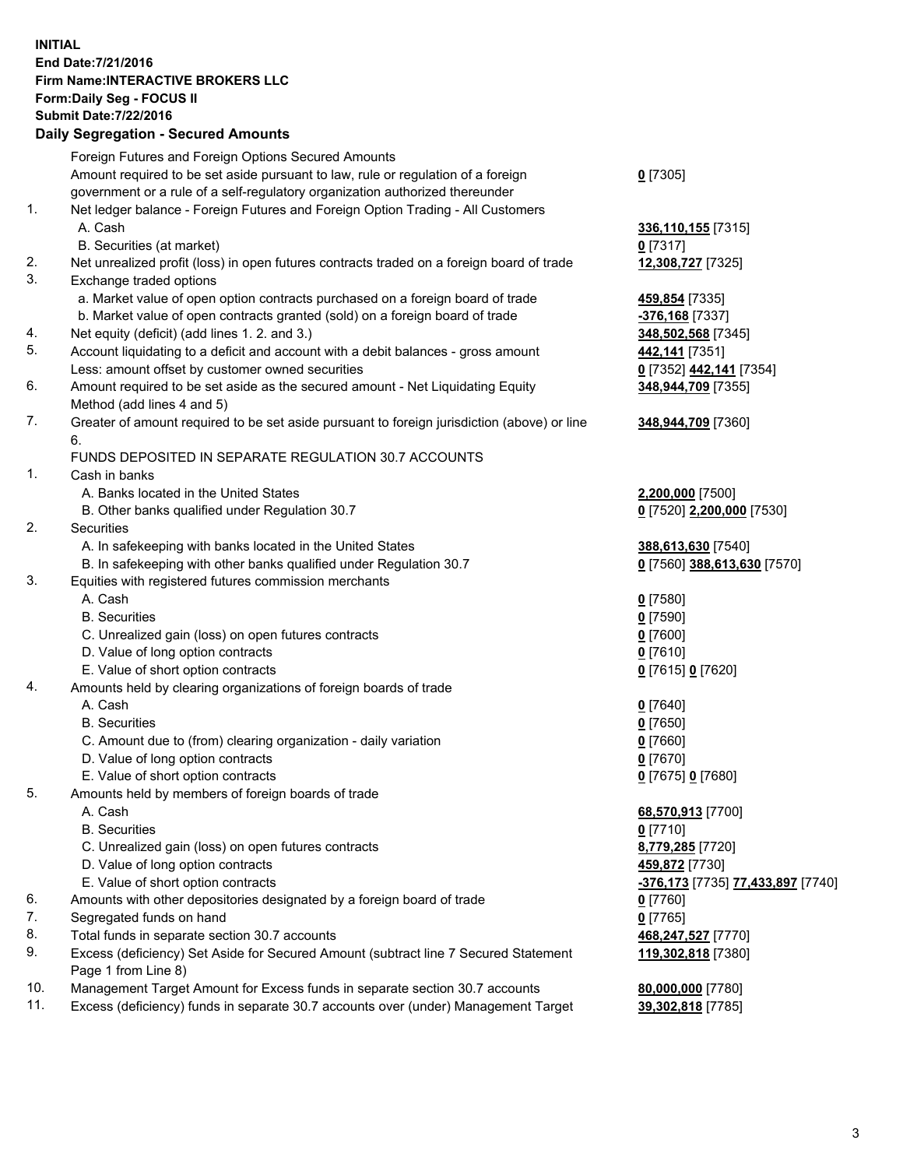## **INITIAL End Date:7/21/2016 Firm Name:INTERACTIVE BROKERS LLC Form:Daily Seg - FOCUS II Submit Date:7/22/2016 Daily Segregation - Secured Amounts**

|     | Foreign Futures and Foreign Options Secured Amounts                                                        |                                   |
|-----|------------------------------------------------------------------------------------------------------------|-----------------------------------|
|     | Amount required to be set aside pursuant to law, rule or regulation of a foreign                           | $0$ [7305]                        |
|     | government or a rule of a self-regulatory organization authorized thereunder                               |                                   |
| 1.  | Net ledger balance - Foreign Futures and Foreign Option Trading - All Customers                            |                                   |
|     | A. Cash                                                                                                    | 336,110,155 [7315]                |
|     | B. Securities (at market)                                                                                  | $0$ [7317]                        |
| 2.  | Net unrealized profit (loss) in open futures contracts traded on a foreign board of trade                  | 12,308,727 [7325]                 |
| 3.  | Exchange traded options                                                                                    |                                   |
|     | a. Market value of open option contracts purchased on a foreign board of trade                             | 459,854 [7335]                    |
|     | b. Market value of open contracts granted (sold) on a foreign board of trade                               | -376,168 [7337]                   |
| 4.  | Net equity (deficit) (add lines 1. 2. and 3.)                                                              | 348,502,568 [7345]                |
| 5.  | Account liquidating to a deficit and account with a debit balances - gross amount                          | 442,141 [7351]                    |
|     | Less: amount offset by customer owned securities                                                           | 0 [7352] 442,141 [7354]           |
| 6.  | Amount required to be set aside as the secured amount - Net Liquidating Equity                             | 348,944,709 [7355]                |
|     | Method (add lines 4 and 5)                                                                                 |                                   |
| 7.  | Greater of amount required to be set aside pursuant to foreign jurisdiction (above) or line                | 348,944,709 [7360]                |
|     | 6.                                                                                                         |                                   |
|     | FUNDS DEPOSITED IN SEPARATE REGULATION 30.7 ACCOUNTS                                                       |                                   |
| 1.  | Cash in banks                                                                                              |                                   |
|     | A. Banks located in the United States                                                                      | 2,200,000 [7500]                  |
|     | B. Other banks qualified under Regulation 30.7                                                             | 0 [7520] 2,200,000 [7530]         |
| 2.  | Securities                                                                                                 |                                   |
|     | A. In safekeeping with banks located in the United States                                                  | 388,613,630 [7540]                |
|     | B. In safekeeping with other banks qualified under Regulation 30.7                                         | 0 [7560] 388,613,630 [7570]       |
| 3.  | Equities with registered futures commission merchants                                                      |                                   |
|     | A. Cash                                                                                                    | $0$ [7580]                        |
|     | <b>B.</b> Securities                                                                                       | $0$ [7590]                        |
|     | C. Unrealized gain (loss) on open futures contracts                                                        | $0$ [7600]                        |
|     | D. Value of long option contracts                                                                          | $0$ [7610]                        |
|     | E. Value of short option contracts                                                                         | 0 [7615] 0 [7620]                 |
| 4.  | Amounts held by clearing organizations of foreign boards of trade                                          |                                   |
|     | A. Cash                                                                                                    | $0$ [7640]                        |
|     | <b>B.</b> Securities                                                                                       | $0$ [7650]                        |
|     | C. Amount due to (from) clearing organization - daily variation                                            | $0$ [7660]                        |
|     | D. Value of long option contracts                                                                          | $0$ [7670]                        |
|     | E. Value of short option contracts                                                                         | 0 [7675] 0 [7680]                 |
| 5.  | Amounts held by members of foreign boards of trade                                                         |                                   |
|     | A. Cash                                                                                                    |                                   |
|     | <b>B.</b> Securities                                                                                       | 68,570,913 [7700]<br>$0$ [7710]   |
|     |                                                                                                            |                                   |
|     | C. Unrealized gain (loss) on open futures contracts<br>D. Value of long option contracts                   | 8,779,285 [7720]                  |
|     |                                                                                                            | 459,872 [7730]                    |
|     | E. Value of short option contracts                                                                         | -376,173 [7735] 77,433,897 [7740] |
| 6.  | Amounts with other depositories designated by a foreign board of trade                                     | $0$ [7760]                        |
| 7.  | Segregated funds on hand                                                                                   | $0$ [7765]                        |
| 8.  | Total funds in separate section 30.7 accounts                                                              | 468,247,527 [7770]                |
| 9.  | Excess (deficiency) Set Aside for Secured Amount (subtract line 7 Secured Statement<br>Page 1 from Line 8) | 119,302,818 [7380]                |
| 10. | Management Target Amount for Excess funds in separate section 30.7 accounts                                | 80,000,000 [7780]                 |
| 11. | Excess (deficiency) funds in separate 30.7 accounts over (under) Management Target                         | 39,302,818 [7785]                 |
|     |                                                                                                            |                                   |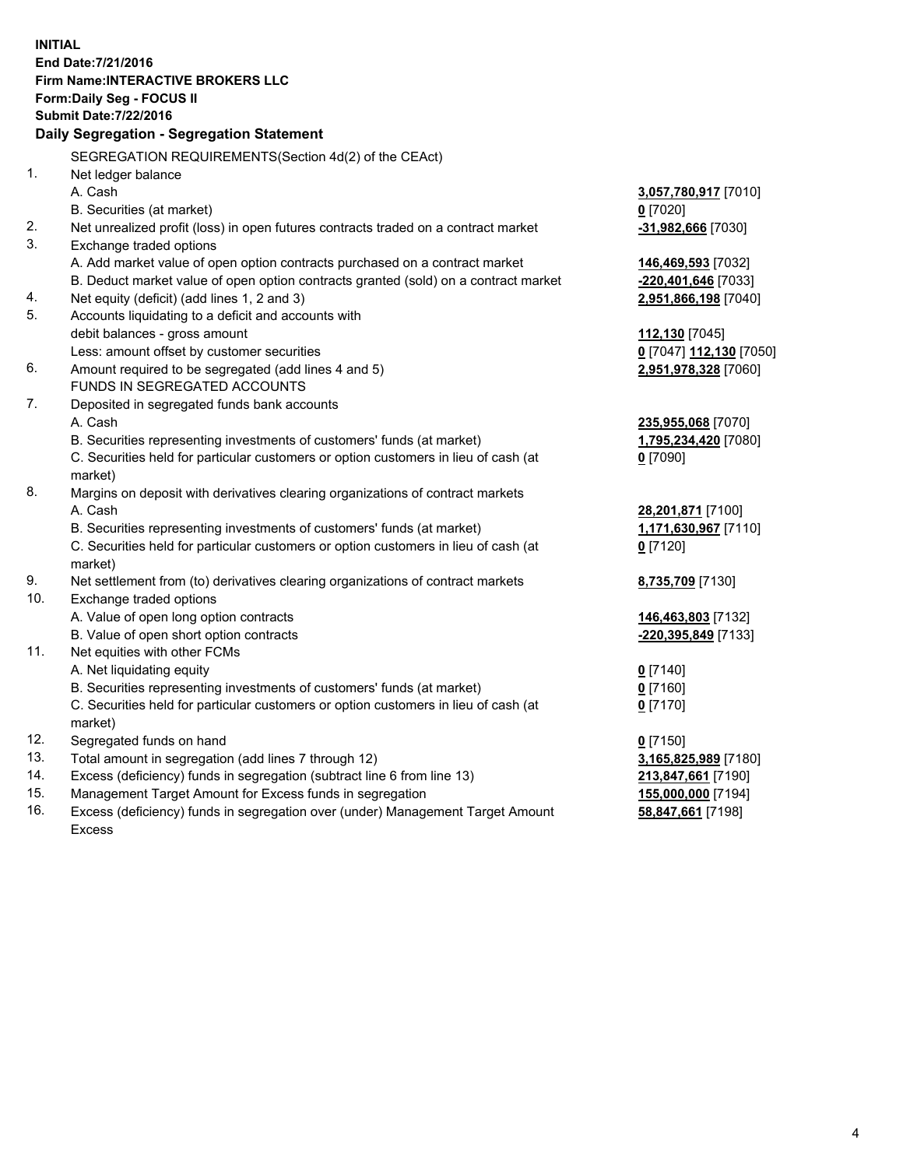**INITIAL End Date:7/21/2016 Firm Name:INTERACTIVE BROKERS LLC Form:Daily Seg - FOCUS II Submit Date:7/22/2016 Daily Segregation - Segregation Statement** SEGREGATION REQUIREMENTS(Section 4d(2) of the CEAct) 1. Net ledger balance A. Cash **3,057,780,917** [7010] B. Securities (at market) **0** [7020] 2. Net unrealized profit (loss) in open futures contracts traded on a contract market **-31,982,666** [7030] 3. Exchange traded options A. Add market value of open option contracts purchased on a contract market **146,469,593** [7032] B. Deduct market value of open option contracts granted (sold) on a contract market **-220,401,646** [7033] 4. Net equity (deficit) (add lines 1, 2 and 3) **2,951,866,198** [7040] 5. Accounts liquidating to a deficit and accounts with debit balances - gross amount **112,130** [7045] Less: amount offset by customer securities **0** [7047] **112,130** [7050] 6. Amount required to be segregated (add lines 4 and 5) **2,951,978,328** [7060] FUNDS IN SEGREGATED ACCOUNTS 7. Deposited in segregated funds bank accounts A. Cash **235,955,068** [7070] B. Securities representing investments of customers' funds (at market) **1,795,234,420** [7080] C. Securities held for particular customers or option customers in lieu of cash (at market) **0** [7090] 8. Margins on deposit with derivatives clearing organizations of contract markets A. Cash **28,201,871** [7100] B. Securities representing investments of customers' funds (at market) **1,171,630,967** [7110] C. Securities held for particular customers or option customers in lieu of cash (at market) **0** [7120] 9. Net settlement from (to) derivatives clearing organizations of contract markets **8,735,709** [7130] 10. Exchange traded options A. Value of open long option contracts **146,463,803** [7132] B. Value of open short option contracts **-220,395,849** [7133] 11. Net equities with other FCMs A. Net liquidating equity **0** [7140] B. Securities representing investments of customers' funds (at market) **0** [7160] C. Securities held for particular customers or option customers in lieu of cash (at market) **0** [7170] 12. Segregated funds on hand **0** [7150] 13. Total amount in segregation (add lines 7 through 12) **3,165,825,989** [7180] 14. Excess (deficiency) funds in segregation (subtract line 6 from line 13) **213,847,661** [7190] 15. Management Target Amount for Excess funds in segregation **155,000,000** [7194]

16. Excess (deficiency) funds in segregation over (under) Management Target Amount Excess

**58,847,661** [7198]